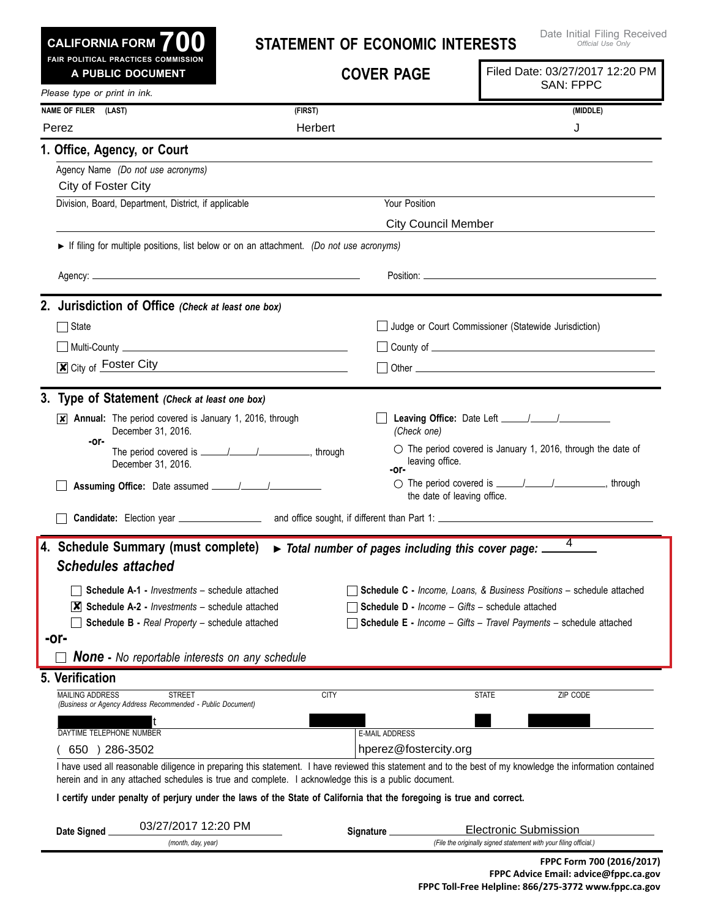| <b>CALIFORNIA FORM</b> | 700 |  |
|------------------------|-----|--|
|                        |     |  |

## **Statement of Economic I nterests**

| FAIR POLITICAL PRACTICES COMMISSION<br>A PUBLIC DOCUMENT                                                                 |             | <b>COVER PAGE</b>                                             | Filed Date: 03/27/2017 12:20 PM<br><b>SAN: FPPC</b>                                                                                                        |
|--------------------------------------------------------------------------------------------------------------------------|-------------|---------------------------------------------------------------|------------------------------------------------------------------------------------------------------------------------------------------------------------|
| Please type or print in ink.                                                                                             |             |                                                               |                                                                                                                                                            |
| NAME OF FILER (LAST)                                                                                                     | (FIRST)     |                                                               | (MIDDLE)                                                                                                                                                   |
| Perez                                                                                                                    | Herbert     |                                                               | J                                                                                                                                                          |
| 1. Office, Agency, or Court                                                                                              |             |                                                               |                                                                                                                                                            |
| Agency Name (Do not use acronyms)<br>City of Foster City                                                                 |             |                                                               |                                                                                                                                                            |
| Division, Board, Department, District, if applicable                                                                     |             | Your Position                                                 |                                                                                                                                                            |
|                                                                                                                          |             | <b>City Council Member</b>                                    |                                                                                                                                                            |
| If filing for multiple positions, list below or on an attachment. (Do not use acronyms)                                  |             |                                                               |                                                                                                                                                            |
|                                                                                                                          |             |                                                               |                                                                                                                                                            |
| 2. Jurisdiction of Office (Check at least one box)                                                                       |             |                                                               |                                                                                                                                                            |
| $\Box$ State                                                                                                             |             |                                                               | Judge or Court Commissioner (Statewide Jurisdiction)                                                                                                       |
| <u>  Multi-County   Multi-County   Multi-County   Multi-County   Multi-County   Multi-County   Multi-Gounty   Multi-</u> |             |                                                               |                                                                                                                                                            |
| $\boxed{\mathbf{x}}$ City of Foster City                                                                                 |             |                                                               |                                                                                                                                                            |
|                                                                                                                          |             |                                                               |                                                                                                                                                            |
| 3. Type of Statement (Check at least one box)                                                                            |             |                                                               |                                                                                                                                                            |
| $\overline{\mathsf{x}}$ Annual: The period covered is January 1, 2016, through<br>December 31, 2016.                     |             | (Check one)                                                   |                                                                                                                                                            |
| -or-<br>December 31, 2016.                                                                                               |             | leaving office.<br>-or-                                       | $\circlearrowright$ The period covered is January 1, 2016, through the date of                                                                             |
|                                                                                                                          |             | the date of leaving office.                                   | ○ The period covered is <u>_____/_____/</u> _________________, through                                                                                     |
|                                                                                                                          |             |                                                               |                                                                                                                                                            |
| 4. Schedule Summary (must complete)<br><b>Schedules attached</b>                                                         |             | Total number of pages including this cover page: __           | 4                                                                                                                                                          |
| <b>Schedule A-1 -</b> <i>Investments</i> – schedule attached                                                             |             |                                                               | <b>Schedule C</b> - Income, Loans, & Business Positions - schedule attached                                                                                |
| $ \mathbf{X} $ Schedule A-2 - <i>Investments</i> – schedule attached                                                     |             | <b>Schedule D</b> - <i>Income - Gifts - schedule attached</i> |                                                                                                                                                            |
| <b>Schedule B - Real Property - schedule attached</b>                                                                    |             |                                                               | <b>Schedule E</b> - Income - Gifts - Travel Payments - schedule attached                                                                                   |
| -or-                                                                                                                     |             |                                                               |                                                                                                                                                            |
| <b>None -</b> No reportable interests on any schedule                                                                    |             |                                                               |                                                                                                                                                            |
| 5. Verification                                                                                                          |             |                                                               |                                                                                                                                                            |
| <b>MAILING ADDRESS</b><br><b>STREET</b><br>(Business or Agency Address Recommended - Public Document)                    | <b>CITY</b> |                                                               | <b>STATE</b><br>ZIP CODE                                                                                                                                   |
|                                                                                                                          |             |                                                               |                                                                                                                                                            |
| DAYTIME TELEPHONE NUMBER                                                                                                 |             | <b>E-MAIL ADDRESS</b>                                         |                                                                                                                                                            |
| 650 ) 286-3502                                                                                                           |             | hperez@fostercity.org                                         |                                                                                                                                                            |
| herein and in any attached schedules is true and complete. I acknowledge this is a public document.                      |             |                                                               | I have used all reasonable diligence in preparing this statement. I have reviewed this statement and to the best of my knowledge the information contained |
| I certify under penalty of perjury under the laws of the State of California that the foregoing is true and correct.     |             |                                                               |                                                                                                                                                            |
| 03/27/2017 12:20 PM                                                                                                      |             |                                                               | <b>Electronic Submission</b>                                                                                                                               |
| Date Signed<br>(month, day, year)                                                                                        |             | Signature _                                                   | (File the originally signed statement with your filing official.)                                                                                          |
|                                                                                                                          |             |                                                               | FPPC Form 700 (2016/2017)                                                                                                                                  |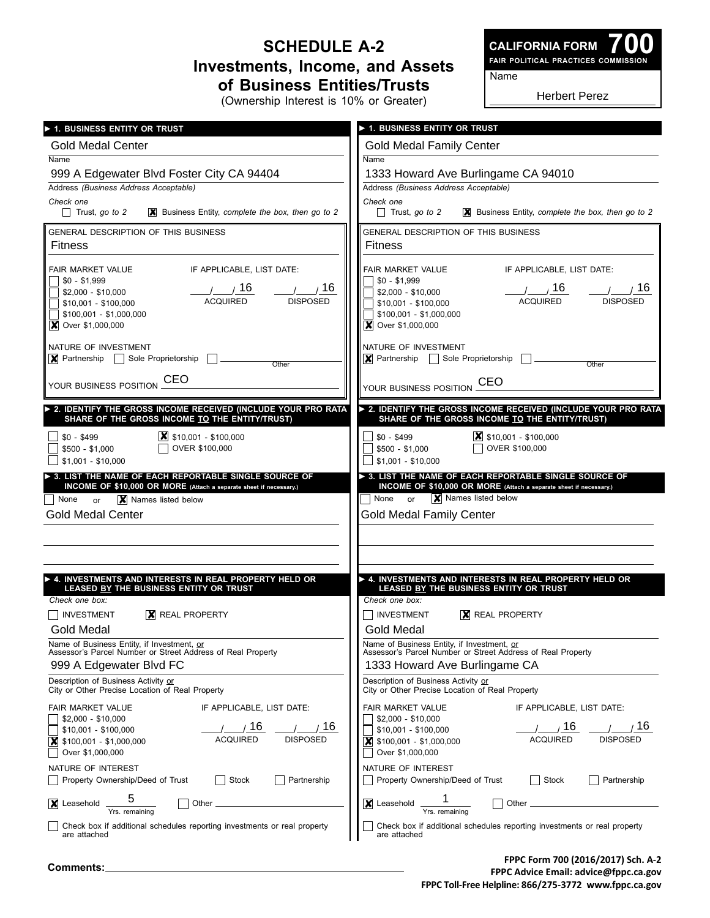## **Schedule A-2 Investments, Income, and Assets of Business Entities/Trusts**

(Ownership Interest is 10% or Greater)

**700 Fair Political Practices Commission CALIFORNIA FORM**

Name

Herbert Perez

| 1. BUSINESS ENTITY OR TRUST                                                 | 1. BUSINESS ENTITY OR TRUST                                              |
|-----------------------------------------------------------------------------|--------------------------------------------------------------------------|
| <b>Gold Medal Center</b>                                                    | <b>Gold Medal Family Center</b>                                          |
| Name                                                                        | Name                                                                     |
| 999 A Edgewater Blvd Foster City CA 94404                                   | 1333 Howard Ave Burlingame CA 94010                                      |
| Address (Business Address Acceptable)                                       | Address (Business Address Acceptable)                                    |
| Check one                                                                   | Check one                                                                |
| $\Box$ Trust, go to 2                                                       | Trust, go to 2                                                           |
| $\mathbf{\times}$ Business Entity, complete the box, then go to 2           | $\mathbf{\times}$ Business Entity, complete the box, then go to 2        |
| <b>GENERAL DESCRIPTION OF THIS BUSINESS</b>                                 | GENERAL DESCRIPTION OF THIS BUSINESS                                     |
| <b>Fitness</b>                                                              | <b>Fitness</b>                                                           |
| FAIR MARKET VALUE                                                           | FAIR MARKET VALUE                                                        |
| IF APPLICABLE, LIST DATE:                                                   | IF APPLICABLE, LIST DATE:                                                |
| $$0 - $1,999$                                                               | $$0 - $1,999$                                                            |
| 16                                                                          | , 16                                                                     |
| , 16                                                                        | 16                                                                       |
| $$2,000 - $10,000$                                                          | \$2,000 - \$10,000                                                       |
| <b>DISPOSED</b>                                                             | <b>ACQUIRED</b>                                                          |
| <b>ACQUIRED</b>                                                             | <b>DISPOSED</b>                                                          |
| \$10,001 - \$100,000                                                        | $$10,001 - $100,000$                                                     |
| \$100,001 - \$1,000,000                                                     | $$100,001 - $1,000,000$                                                  |
| <b>X</b> Over \$1,000,000                                                   | <b>X</b> Over \$1,000,000                                                |
| NATURE OF INVESTMENT                                                        | NATURE OF INVESTMENT                                                     |
| $\boxed{\mathbf{X}}$ Partnership $\boxed{\phantom{a}}$ Sole Proprietorship  | $\triangleright$ Partnership Sole Proprietorship                         |
| Other                                                                       | Other                                                                    |
| CEO                                                                         | <b>CEO</b>                                                               |
| YOUR BUSINESS POSITION                                                      | YOUR BUSINESS POSITION                                                   |
| 2. IDENTIFY THE GROSS INCOME RECEIVED (INCLUDE YOUR PRO RATA                | > 2. IDENTIFY THE GROSS INCOME RECEIVED (INCLUDE YOUR PRO RATA           |
| SHARE OF THE GROSS INCOME TO THE ENTITY/TRUST)                              | SHARE OF THE GROSS INCOME TO THE ENTITY/TRUST)                           |
| $\boxed{\mathbf{X}}$ \$10,001 - \$100,000                                   | $\mathsf{X}$ \$10,001 - \$100,000                                        |
| $$0 - $499$                                                                 | $$0 - $499$                                                              |
| OVER \$100,000                                                              | OVER \$100,000                                                           |
| $$500 - $1,000$                                                             | $$500 - $1,000$                                                          |
| $$1,001 - $10,000$                                                          | $$1,001 - $10,000$                                                       |
| > 3. LIST THE NAME OF EACH REPORTABLE SINGLE SOURCE OF                      | > 3. LIST THE NAME OF EACH REPORTABLE SINGLE SOURCE OF                   |
| INCOME OF \$10,000 OR MORE (Attach a separate sheet if necessary.)          | INCOME OF \$10,000 OR MORE (Attach a separate sheet if necessary.)       |
| X Names listed below                                                        | X Names listed below                                                     |
| None                                                                        | None                                                                     |
| or                                                                          | or                                                                       |
| <b>Gold Medal Center</b>                                                    | <b>Gold Medal Family Center</b>                                          |
|                                                                             |                                                                          |
|                                                                             |                                                                          |
| $\blacktriangleright$ 4. INVESTMENTS AND INTERESTS IN REAL PROPERTY HELD OR | A. INVESTMENTS AND INTERESTS IN REAL PROPERTY HELD OR                    |
| LEASED BY THE BUSINESS ENTITY OR TRUST                                      | LEASED BY THE BUSINESS ENTITY OR TRUST                                   |
| Check one box:                                                              | Check one box:                                                           |
| <b>INVESTMENT</b>                                                           | <b>INVESTMENT</b>                                                        |
| $ \mathsf{X} $ REAL PROPERTY                                                | $X$ REAL PROPERTY                                                        |
| <b>Gold Medal</b>                                                           | <b>Gold Medal</b>                                                        |
| Name of Business Entity, if Investment, or                                  | Name of Business Entity, if Investment, or                               |
| Assessor's Parcel Number or Street Address of Real Property                 | Assessor's Parcel Number or Street Address of Real Property              |
| 999 A Edgewater Blvd FC                                                     | 1333 Howard Ave Burlingame CA                                            |
| Description of Business Activity or                                         | Description of Business Activity or                                      |
| City or Other Precise Location of Real Property                             | City or Other Precise Location of Real Property                          |
| <b>FAIR MARKET VALUE</b>                                                    | FAIR MARKET VALUE                                                        |
| IF APPLICABLE, LIST DATE:                                                   | IF APPLICABLE, LIST DATE:                                                |
| $$2,000 - $10,000$                                                          | $$2,000 - $10,000$                                                       |
| 16                                                                          | 16                                                                       |
| 16                                                                          | 16                                                                       |
| \$10,001 - \$100,000                                                        | $$10,001 - $100,000$                                                     |
| <b>ACQUIRED</b>                                                             | <b>ACQUIRED</b>                                                          |
| <b>DISPOSED</b>                                                             | <b>DISPOSED</b>                                                          |
| $$100,001 - $1,000,000$                                                     | \$100,001 - \$1,000,000                                                  |
| X                                                                           | X                                                                        |
| Over \$1,000,000                                                            | Over \$1,000,000                                                         |
| NATURE OF INTEREST                                                          | NATURE OF INTEREST                                                       |
| Stock                                                                       | Property Ownership/Deed of Trust                                         |
| Partnership                                                                 | Stock                                                                    |
| Property Ownership/Deed of Trust                                            | Partnership                                                              |
| 5<br>X Leasehold<br>Other _<br>Yrs. remaining                               | X Leasehold<br>Other<br>Yrs. remaining                                   |
| Check box if additional schedules reporting investments or real property    | Check box if additional schedules reporting investments or real property |
| are attached                                                                | are attached                                                             |

**FPPC Form 700 (2016/2017) Sch. A-2 FPPC Advice Email: advice@fppc.ca.gov FPPC Toll-Free Helpline: 866/275-3772 www.fppc.ca.gov**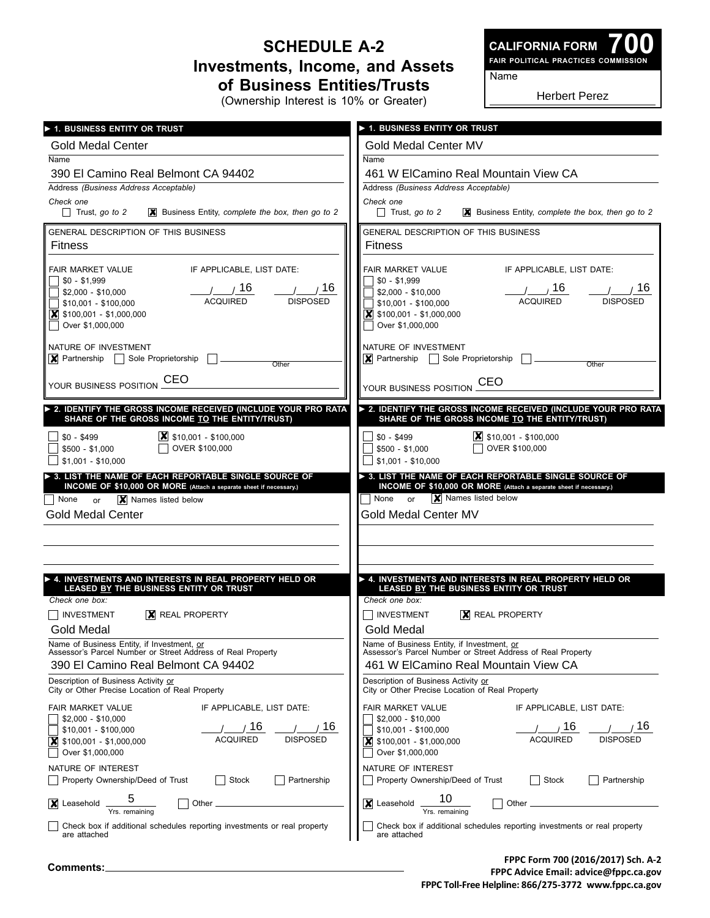## **Schedule A-2 Investments, Income, and Assets of Business Entities/Trusts**

(Ownership Interest is 10% or Greater)

**700 Fair Political Practices Commission CALIFORNIA FORM**

Name

Herbert Perez

| 1. BUSINESS ENTITY OR TRUST                                                                                                                                                                                 | <b>1. BUSINESS ENTITY OR TRUST</b>                                                                                                                                                                                     |  |
|-------------------------------------------------------------------------------------------------------------------------------------------------------------------------------------------------------------|------------------------------------------------------------------------------------------------------------------------------------------------------------------------------------------------------------------------|--|
| <b>Gold Medal Center</b>                                                                                                                                                                                    | Gold Medal Center MV                                                                                                                                                                                                   |  |
| Name                                                                                                                                                                                                        | Name                                                                                                                                                                                                                   |  |
| 390 El Camino Real Belmont CA 94402                                                                                                                                                                         | 461 W ElCamino Real Mountain View CA                                                                                                                                                                                   |  |
| Address (Business Address Acceptable)                                                                                                                                                                       | Address (Business Address Acceptable)                                                                                                                                                                                  |  |
| Check one                                                                                                                                                                                                   | Check one                                                                                                                                                                                                              |  |
| $\Box$ Trust, go to 2                                                                                                                                                                                       | $\Box$ Trust, go to 2                                                                                                                                                                                                  |  |
| $\mathbf{\times}$ Business Entity, complete the box, then go to 2                                                                                                                                           | $\mathbf{\times}$ Business Entity, complete the box, then go to 2                                                                                                                                                      |  |
| GENERAL DESCRIPTION OF THIS BUSINESS                                                                                                                                                                        | GENERAL DESCRIPTION OF THIS BUSINESS                                                                                                                                                                                   |  |
| <b>Fitness</b>                                                                                                                                                                                              | <b>Fitness</b>                                                                                                                                                                                                         |  |
| IF APPLICABLE. LIST DATE:                                                                                                                                                                                   | IF APPLICABLE, LIST DATE:                                                                                                                                                                                              |  |
| FAIR MARKET VALUE                                                                                                                                                                                           | FAIR MARKET VALUE                                                                                                                                                                                                      |  |
| $$0 - $1,999$                                                                                                                                                                                               | $$0 - $1,999$                                                                                                                                                                                                          |  |
| /16                                                                                                                                                                                                         | $/$ $/16$                                                                                                                                                                                                              |  |
| , 16                                                                                                                                                                                                        | 716                                                                                                                                                                                                                    |  |
| $$2,000 - $10,000$                                                                                                                                                                                          | \$2,000 - \$10,000                                                                                                                                                                                                     |  |
| <b>DISPOSED</b>                                                                                                                                                                                             | <b>ACQUIRED</b>                                                                                                                                                                                                        |  |
| <b>ACQUIRED</b>                                                                                                                                                                                             | <b>DISPOSED</b>                                                                                                                                                                                                        |  |
| $$10,001 - $100,000$                                                                                                                                                                                        | $$10,001 - $100,000$                                                                                                                                                                                                   |  |
| $\boxed{\mathbf{X}}$ \$100,001 - \$1,000,000                                                                                                                                                                | $\vert$ \$100,001 - \$1,000,000                                                                                                                                                                                        |  |
| Over \$1,000,000                                                                                                                                                                                            | Over \$1,000,000                                                                                                                                                                                                       |  |
| NATURE OF INVESTMENT                                                                                                                                                                                        | NATURE OF INVESTMENT                                                                                                                                                                                                   |  |
| $\triangleright$ Partnership $\triangleright$ Sole Proprietorship                                                                                                                                           | $\vert$ Partnership   Sole Proprietorship                                                                                                                                                                              |  |
| Other                                                                                                                                                                                                       | Other                                                                                                                                                                                                                  |  |
| CEO                                                                                                                                                                                                         | <b>CEO</b>                                                                                                                                                                                                             |  |
| YOUR BUSINESS POSITION                                                                                                                                                                                      | YOUR BUSINESS POSITION                                                                                                                                                                                                 |  |
| 2. IDENTIFY THE GROSS INCOME RECEIVED (INCLUDE YOUR PRO RATA                                                                                                                                                | > 2. IDENTIFY THE GROSS INCOME RECEIVED (INCLUDE YOUR PRO RATA                                                                                                                                                         |  |
| SHARE OF THE GROSS INCOME TO THE ENTITY/TRUST)                                                                                                                                                              | SHARE OF THE GROSS INCOME TO THE ENTITY/TRUST)                                                                                                                                                                         |  |
| $\vert X \vert$ \$10,001 - \$100,000                                                                                                                                                                        | $ \mathsf{X} $ \$10,001 - \$100,000                                                                                                                                                                                    |  |
| $$0 - $499$                                                                                                                                                                                                 | $$0 - $499$                                                                                                                                                                                                            |  |
| OVER \$100,000                                                                                                                                                                                              | OVER \$100,000                                                                                                                                                                                                         |  |
| $$500 - $1,000$                                                                                                                                                                                             | $$500 - $1,000$                                                                                                                                                                                                        |  |
| $$1,001 - $10,000$                                                                                                                                                                                          | $$1,001 - $10,000$                                                                                                                                                                                                     |  |
| $\triangleright$ 3. LIST THE NAME OF EACH REPORTABLE SINGLE SOURCE OF                                                                                                                                       | > 3. LIST THE NAME OF EACH REPORTABLE SINGLE SOURCE OF                                                                                                                                                                 |  |
| INCOME OF \$10,000 OR MORE (Attach a separate sheet if necessary.)                                                                                                                                          | INCOME OF \$10,000 OR MORE (Attach a separate sheet if necessary.)                                                                                                                                                     |  |
| X Names listed below<br>  None<br>or                                                                                                                                                                        | X Names listed below<br>None or                                                                                                                                                                                        |  |
| <b>Gold Medal Center</b>                                                                                                                                                                                    | Gold Medal Center MV                                                                                                                                                                                                   |  |
|                                                                                                                                                                                                             |                                                                                                                                                                                                                        |  |
| ▶ 4. INVESTMENTS AND INTERESTS IN REAL PROPERTY HELD OR                                                                                                                                                     | A. INVESTMENTS AND INTERESTS IN REAL PROPERTY HELD OR                                                                                                                                                                  |  |
| LEASED BY THE BUSINESS ENTITY OR TRUST                                                                                                                                                                      | LEASED BY THE BUSINESS ENTITY OR TRUST                                                                                                                                                                                 |  |
| Check one box:                                                                                                                                                                                              | Check one box:                                                                                                                                                                                                         |  |
| <b>INVESTMENT</b>                                                                                                                                                                                           | INVESTMENT                                                                                                                                                                                                             |  |
| $ X $ REAL PROPERTY                                                                                                                                                                                         | $ X $ REAL PROPERTY                                                                                                                                                                                                    |  |
| Gold Medal                                                                                                                                                                                                  | Gold Medal                                                                                                                                                                                                             |  |
| Name of Business Entity, if Investment, or Name of Business Assessor's Parcel Number or Street Address of Real Property                                                                                     | Name of Business Entity, if Investment, or Name of Real Property<br>Assessor's Parcel Number or Street Address of Real Property                                                                                        |  |
| 390 El Camino Real Belmont CA 94402                                                                                                                                                                         | 461 W ElCamino Real Mountain View CA                                                                                                                                                                                   |  |
| Description of Business Activity or                                                                                                                                                                         | Description of Business Activity or                                                                                                                                                                                    |  |
| City or Other Precise Location of Real Property                                                                                                                                                             | City or Other Precise Location of Real Property                                                                                                                                                                        |  |
| <b>FAIR MARKET VALUE</b><br>IF APPLICABLE, LIST DATE:<br>$$2,000 - $10,000$<br>16<br>16<br>$$10,001 - $100,000$<br><b>ACQUIRED</b><br><b>DISPOSED</b><br>\$100,001 - \$1,000,000<br> x <br>Over \$1,000,000 | <b>FAIR MARKET VALUE</b><br>IF APPLICABLE, LIST DATE:<br>$$2,000 - $10,000$<br>16<br>16<br>$$10,001 - $100,000$<br><b>ACQUIRED</b><br><b>DISPOSED</b><br>$\mathbf{\times}$ \$100,001 - \$1,000,000<br>Over \$1,000,000 |  |
| NATURE OF INTEREST                                                                                                                                                                                          | NATURE OF INTEREST                                                                                                                                                                                                     |  |
| Property Ownership/Deed of Trust                                                                                                                                                                            | Property Ownership/Deed of Trust                                                                                                                                                                                       |  |
| Stock                                                                                                                                                                                                       | Stock                                                                                                                                                                                                                  |  |
| Partnership                                                                                                                                                                                                 | Partnership                                                                                                                                                                                                            |  |
| 5<br>Leasehold<br>Other<br>X<br>Yrs. remaining                                                                                                                                                              | 10<br>X Leasehold<br>Other                                                                                                                                                                                             |  |
| Check box if additional schedules reporting investments or real property                                                                                                                                    | Check box if additional schedules reporting investments or real property                                                                                                                                               |  |
| are attached                                                                                                                                                                                                | are attached                                                                                                                                                                                                           |  |

**FPPC Form 700 (2016/2017) Sch. A-2 FPPC Advice Email: advice@fppc.ca.gov FPPC Toll-Free Helpline: 866/275-3772 www.fppc.ca.gov**